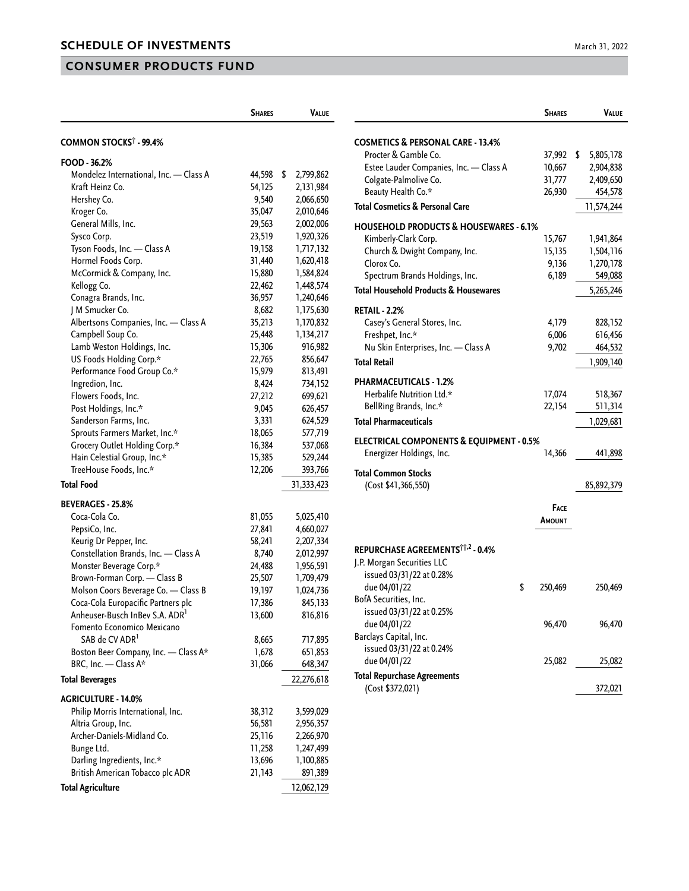## **CONSUMER PRODUCTS FUND**

|                                          | <b>SHARES</b> | <b>VALUE</b>    |
|------------------------------------------|---------------|-----------------|
|                                          |               |                 |
| <b>COMMON STOCKS<sup>†</sup> - 99.4%</b> |               |                 |
| FOOD - 36.2%                             |               |                 |
| Mondelez International, Inc. - Class A   | 44,598        | \$<br>2,799,862 |
| Kraft Heinz Co.                          | 54,125        | 2,131,984       |
| Hershey Co.                              | 9,540         | 2,066,650       |
| Kroger Co.                               | 35,047        | 2,010,646       |
| General Mills, Inc.                      | 29,563        | 2,002,006       |
| Sysco Corp.                              | 23,519        | 1,920,326       |
| Tyson Foods, Inc. - Class A              | 19,158        | 1,717,132       |
| Hormel Foods Corp.                       | 31,440        | 1,620,418       |
| McCormick & Company, Inc.                | 15,880        | 1,584,824       |
| Kellogg Co.                              | 22,462        | 1,448,574       |
| Conagra Brands, Inc.                     | 36,957        | 1,240,646       |
| J M Smucker Co.                          | 8,682         | 1,175,630       |
| Albertsons Companies, Inc. - Class A     | 35,213        | 1,170,832       |
| Campbell Soup Co.                        | 25,448        | 1,134,217       |
| Lamb Weston Holdings, Inc.               | 15,306        | 916,982         |
| US Foods Holding Corp.*                  | 22,765        | 856,647         |
| Performance Food Group Co.*              | 15,979        | 813,491         |
| Ingredion, Inc.                          | 8,424         | 734,152         |
| Flowers Foods, Inc.                      | 27,212        | 699,621         |
| Post Holdings, Inc.*                     | 9,045         | 626,457         |
| Sanderson Farms, Inc.                    | 3,331         | 624,529         |
| Sprouts Farmers Market, Inc.*            | 18,065        | 577,719         |
| Grocery Outlet Holding Corp.*            | 16,384        | 537,068         |
| Hain Celestial Group, Inc.*              | 15,385        | 529,244         |
| TreeHouse Foods, Inc.*                   | 12,206        | 393,766         |
| <b>Total Food</b>                        |               | 31,333,423      |
| <b>BEVERAGES - 25.8%</b>                 |               |                 |
| Coca-Cola Co.                            | 81,055        | 5,025,410       |
| PepsiCo, Inc.                            | 27,841        | 4,660,027       |
| Keurig Dr Pepper, Inc.                   | 58,241        | 2,207,334       |
| Constellation Brands, Inc. - Class A     | 8,740         | 2,012,997       |
| Monster Beverage Corp.*                  | 24,488        | 1,956,591       |
| Brown-Forman Corp. - Class B             | 25,507        | 1,709,479       |
| Molson Coors Beverage Co. - Class B      | 19,197        | 1,024,736       |
| Coca-Cola Europacific Partners plc       | 17,386        | 845,133         |
| Anheuser-Busch InBev S.A. ADR'           | 13,600        | 816,816         |
| Fomento Economico Mexicano               |               |                 |
| SAB de CV ADR <sup>1</sup>               | 8,665         | 717,895         |
| Boston Beer Company, Inc. - Class A*     | 1,678         | 651,853         |
| BRC, Inc. - Class A*                     | 31,066        | 648,347         |
| <b>Total Beverages</b>                   |               | 22,276,618      |
| <b>AGRICULTURE - 14.0%</b>               |               |                 |
| Philip Morris International, Inc.        | 38,312        | 3,599,029       |
| Altria Group, Inc.                       | 56,581        | 2,956,357       |
| Archer-Daniels-Midland Co.               | 25,116        | 2,266,970       |
| Bunge Ltd.                               | 11,258        | 1,247,499       |
| Darling Ingredients, Inc.*               | 13,696        | 1,100,885       |
| British American Tobacco plc ADR         | 21,143        | 891,389         |
| <b>Total Agriculture</b>                 |               | 12,062,129      |

|                                                     | <b>SHARES</b> | <b>VALUE</b>    |
|-----------------------------------------------------|---------------|-----------------|
| COSMETICS & PERSONAL CARE - 13.4%                   |               |                 |
| Procter & Gamble Co.                                | 37,992        | \$<br>5,805,178 |
| Estee Lauder Companies, Inc. - Class A              | 10,667        | 2,904,838       |
| Colgate-Palmolive Co.                               | 31,777        | 2,409,650       |
| Beauty Health Co.*                                  | 26,930        | 454,578         |
| Total Cosmetics & Personal Care                     |               | 11,574,244      |
| <b>HOUSEHOLD PRODUCTS &amp; HOUSEWARES - 6.1%</b>   |               |                 |
| Kimberly-Clark Corp.                                | 15,767        | 1,941,864       |
| Church & Dwight Company, Inc.                       | 15,135        | 1,504,116       |
| Clorox Co.                                          | 9,136         | 1,270,178       |
| Spectrum Brands Holdings, Inc.                      | 6,189         | 549,088         |
|                                                     |               |                 |
| Total Household Products & Housewares               |               | 5,265,246       |
| <b>RETAIL - 2.2%</b>                                |               |                 |
| Casey's General Stores, Inc.                        | 4,179         | 828,152         |
| Freshpet, Inc.*                                     | 6,006         | 616,456         |
| Nu Skin Enterprises, Inc. - Class A                 | 9,702         | 464,532         |
| <b>Total Retail</b>                                 |               | 1,909,140       |
| PHARMACEUTICALS - 1.2%                              |               |                 |
| Herbalife Nutrition Ltd.*                           | 17,074        | 518,367         |
| BellRing Brands, Inc.*                              | 22,154        | 511,314         |
| <b>Total Pharmaceuticals</b>                        |               | 1,029,681       |
|                                                     |               |                 |
| <b>ELECTRICAL COMPONENTS &amp; EQUIPMENT - 0.5%</b> |               |                 |
| Energizer Holdings, Inc.                            | 14,366        | 441,898         |
| <b>Total Common Stocks</b>                          |               |                 |
| (Cost \$41,366,550)                                 |               | 85,892,379      |
|                                                     | Face          |                 |
|                                                     | <b>AMOUNT</b> |                 |
|                                                     |               |                 |
| REPURCHASE AGREEMENTSTT,2 - 0.4%                    |               |                 |
| J.P. Morgan Securities LLC                          |               |                 |
| issued 03/31/22 at 0.28%                            |               |                 |
| due 04/01/22                                        | \$<br>250,469 | 250,469         |
| BofA Securities, Inc.                               |               |                 |
| issued 03/31/22 at 0.25%                            |               |                 |
| due 04/01/22                                        | 96,470        | 96,470          |
| Barclays Capital, Inc.                              |               |                 |
| issued 03/31/22 at 0.24%                            |               |                 |
| due 04/01/22                                        | 25,082        | 25,082          |
| <b>Total Repurchase Agreements</b>                  |               |                 |
| (Cost \$372,021)                                    |               | 372,021         |
|                                                     |               |                 |